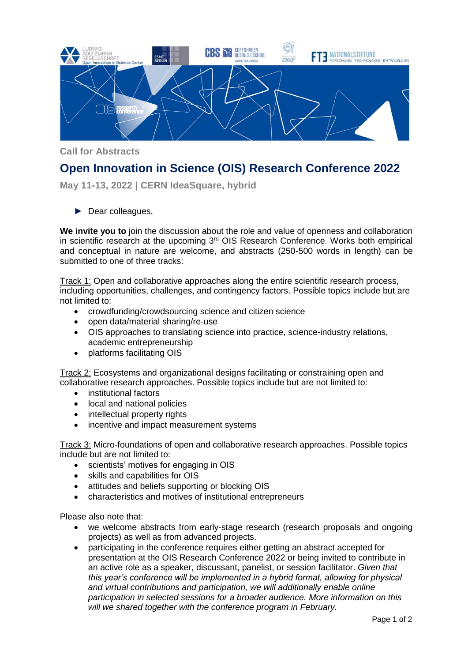

**Call for Abstracts**

## **Open Innovation in Science (OIS) Research Conference 2022**

**May 11-13, 2022 | CERN IdeaSquare, hybrid**

► Dear colleagues,

**We invite you to** join the discussion about the role and value of openness and collaboration in scientific research at the upcoming  $3<sup>rd</sup>$  OIS Research Conference. Works both empirical and conceptual in nature are welcome, and abstracts (250-500 words in length) can be submitted to one of three tracks:

Track 1: Open and collaborative approaches along the entire scientific research process, including opportunities, challenges, and contingency factors. Possible topics include but are not limited to:

- crowdfunding/crowdsourcing science and citizen science
- open data/material sharing/re-use
- OIS approaches to translating science into practice, science-industry relations, academic entrepreneurship
- platforms facilitating OIS

Track 2: Ecosystems and organizational designs facilitating or constraining open and collaborative research approaches. Possible topics include but are not limited to:

- institutional factors
- local and national policies
- intellectual property rights
- incentive and impact measurement systems

Track 3: Micro-foundations of open and collaborative research approaches. Possible topics include but are not limited to:

- scientists' motives for engaging in OIS
- skills and capabilities for OIS
- attitudes and beliefs supporting or blocking OIS
- characteristics and motives of institutional entrepreneurs

Please also note that:

- we welcome abstracts from early-stage research (research proposals and ongoing projects) as well as from advanced projects.
- participating in the conference requires either getting an abstract accepted for presentation at the OIS Research Conference 2022 or being invited to contribute in an active role as a speaker, discussant, panelist, or session facilitator. *Given that this year's conference will be implemented in a hybrid format, allowing for physical and virtual contributions and participation, we will additionally enable online participation in selected sessions for a broader audience. More information on this will we shared together with the conference program in February.*